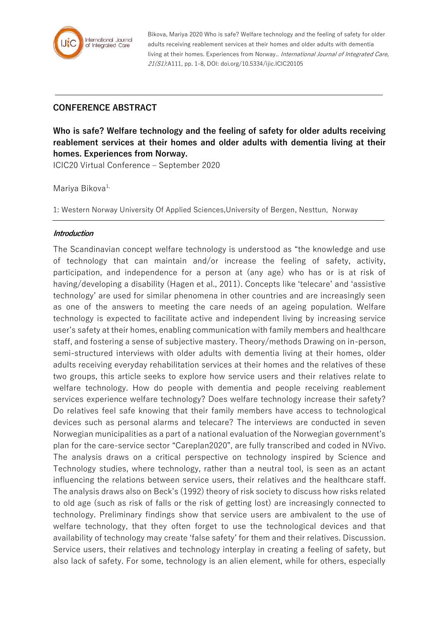

Bikova, Mariya 2020 Who is safe? Welfare technology and the feeling of safety for older adults receiving reablement services at their homes and older adults with dementia living at their homes. Experiences from Norway.. International Journal of Integrated Care, 21(S1):A111, pp. 1-8, DOI: doi.org/10.5334/ijic.ICIC20105

## **CONFERENCE ABSTRACT**

**Who is safe? Welfare technology and the feeling of safety for older adults receiving reablement services at their homes and older adults with dementia living at their homes. Experiences from Norway.**

ICIC20 Virtual Conference – September 2020

Mariya Bikova<sup>1,</sup>

1: Western Norway University Of Applied Sciences,University of Bergen, Nesttun, Norway

## **Introduction**

The Scandinavian concept welfare technology is understood as "the knowledge and use of technology that can maintain and/or increase the feeling of safety, activity, participation, and independence for a person at (any age) who has or is at risk of having/developing a disability (Hagen et al., 2011). Concepts like 'telecare' and 'assistive technology' are used for similar phenomena in other countries and are increasingly seen as one of the answers to meeting the care needs of an ageing population. Welfare technology is expected to facilitate active and independent living by increasing service user's safety at their homes, enabling communication with family members and healthcare staff, and fostering a sense of subjective mastery. Theory/methods Drawing on in-person, semi-structured interviews with older adults with dementia living at their homes, older adults receiving everyday rehabilitation services at their homes and the relatives of these two groups, this article seeks to explore how service users and their relatives relate to welfare technology. How do people with dementia and people receiving reablement services experience welfare technology? Does welfare technology increase their safety? Do relatives feel safe knowing that their family members have access to technological devices such as personal alarms and telecare? The interviews are conducted in seven Norwegian municipalities as a part of a national evaluation of the Norwegian government's plan for the care-service sector "Careplan2020", are fully transcribed and coded in NVivo. The analysis draws on a critical perspective on technology inspired by Science and Technology studies, where technology, rather than a neutral tool, is seen as an actant influencing the relations between service users, their relatives and the healthcare staff. The analysis draws also on Beck's (1992) theory of risk society to discuss how risks related to old age (such as risk of falls or the risk of getting lost) are increasingly connected to technology. Preliminary findings show that service users are ambivalent to the use of welfare technology, that they often forget to use the technological devices and that availability of technology may create 'false safety' for them and their relatives. Discussion. Service users, their relatives and technology interplay in creating a feeling of safety, but also lack of safety. For some, technology is an alien element, while for others, especially